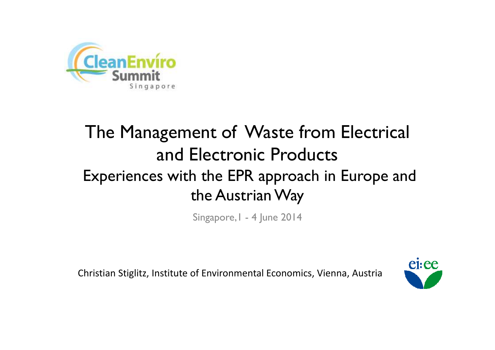

# The Management of Waste from Electrical and Electronic Products Experiences with the EPR approach in Europe and the Austrian Way

Singapore,1 - 4 June 2014

Christian Stiglitz, Institute of Environmental Economics, Vienna, Austria

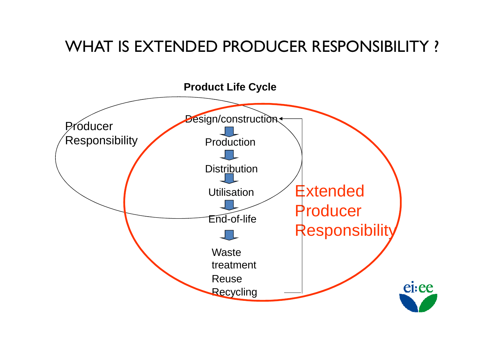### WHAT IS EXTENDED PRODUCER RESPONSIBILITY ?

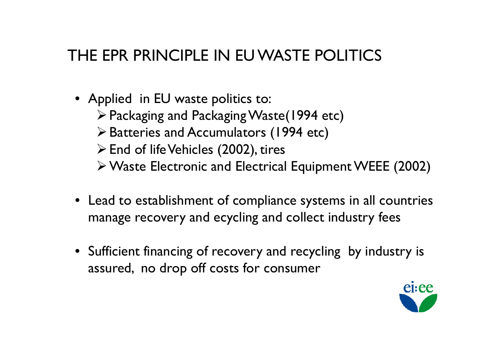### THE EPR PRINCIPLE IN EU WASTE POLITICS

- Applied in EU waste politics to:
	- Packaging and Packaging Waste(1994 etc)
	- Batteries and Accumulators (1994 etc)
	- $\triangleright$  End of life Vehicles (2002), tires
	- Waste Electronic and Electrical Equipment WEEE (2002)
- Lead to establishment of compliance systems in all countries<br>manage recovery and ecycling and collect industry fees manage recovery and ecycling and collect industry fees
- Sufficient financing of recovery and recycling by industry is<br>assured the drop off costs for consumer assured, no drop off costs for consumer

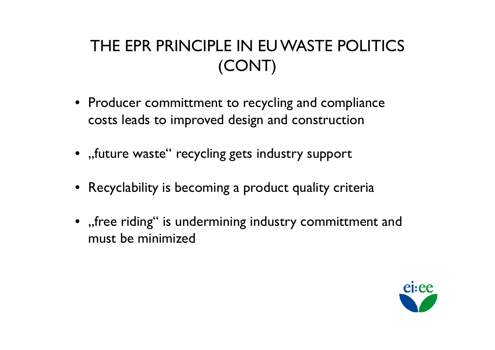# THE EPR PRINCIPLE IN EU WASTE POLITICS (CONT)

- Producer committment to recycling and compliance<br>costs leads to improved design and construction costs leads to improved design and construction
- $\bullet\;$  ,,future waste" recycling gets industry support
- Recyclability is becoming a product quality criteria
- "free riding" is undermining industry committment and<br>must be minimized must be minimized

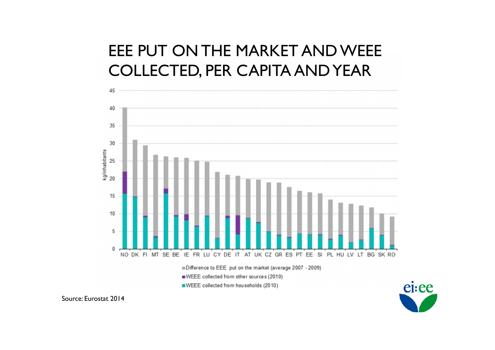### EEE PUT ON THE MARKET AND WEEE COLLECTED, PER CAPITA AND YEAR





Source: Eurostat <sup>2014</sup>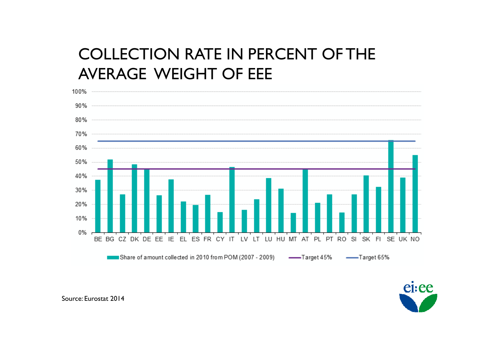### COLLECTION RATE IN PERCENT OF THE AVERAGE WEIGHT OF EEE





Source: Eurostat <sup>2014</sup>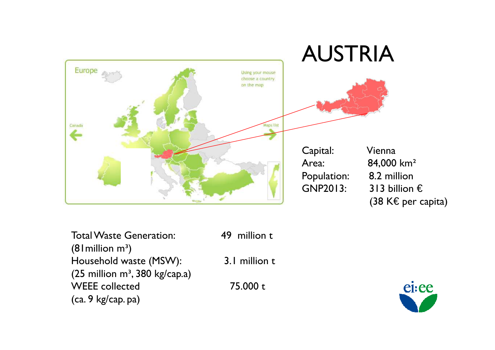

Total Waste Generation: 49 million t  $(81$  million m<sup>3</sup>) Household waste (MSW): 3.1 million t<br>(25 million m<sup>3</sup> 380 kg/cap.a)  $(25$  million m<sup>3</sup>, 380 kg/cap.a) WEEE collected 75.000 t (ca. 9 kg/cap. pa)

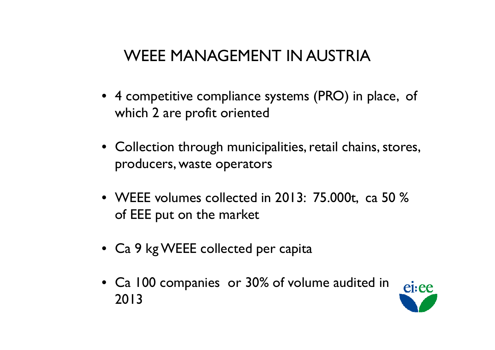### WEEE MANAGEMENT IN AUSTRIA

- 4 competitive compliance systems (PRO) in place, of which 2 are profit oriented
- Collection through municipalities, retail chains, stores, producers, waste operators
- WEEE volumes collected in 2013:  $75.000$ t, ca  $50\%$ of EEE put on the market
- Ca 9 kg WEEE collected per capita
- Ca 100 companies or 30% of volume audited in 2013

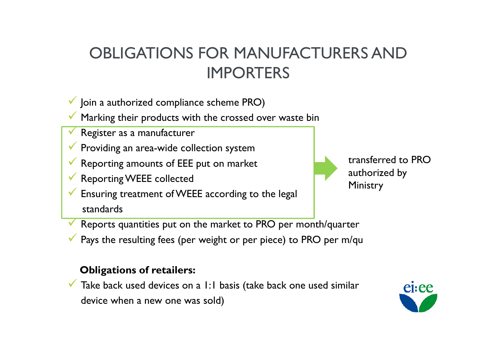### OBLIGATIONS FOR MANUFACTURERS AND IMPORTERS

- V Join a authorized compliance scheme PRO)
- Marking their products with the crossed over waste bin Marking their products with the crossed over waste bin
- $\blacktriangledown$ Register as a manufacturer
- ◆ Providing an area-wide collection system
- Reporting amounts of EEE put on market
- Reporting WEEE collected
- Ensuring treatment of WEEE according to the legal standards



transferred to PRO authorized by Ministry

- $\blacktriangledown$ Reports quantities pu<sup>t</sup> on the market to PRO per month/quarter
- Pays the resulting fees (per weight or per piece) to PRO per m/qu

#### **Obligations of retailers:**

▼ Take back used devices on a 1:1 basis (take back one used similar device when a new one was sold)

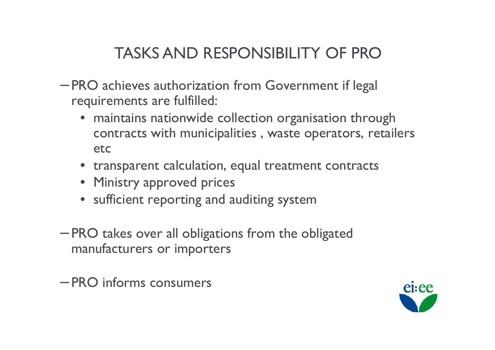# TASKS AND RESPONSIBILITY OF PRO

- PRO achieves authorization from Government if legal requirements are fulfilled:
	- maintains nationwide collection organisation through contracts with municipalities , waste operators, retailers etc
	- transparent calculation, equal treatment contracts
	- Ministry approved prices<br>• sufficient reporting and a
	- sufficient reporting and auditing system
- PRO takes over all obligations from the obligated manufacturers or importers
- PRO informs consumers

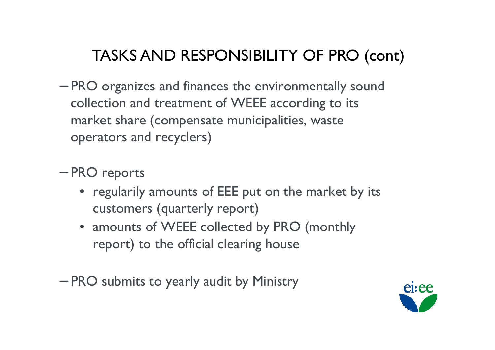# TASKS AND RESPONSIBILITY OF PRO (cont)

- PRO organizes and finances the environmentally sound<br>collection and treatment of WEEE according to its collection and treatment of WEEE according to its market share (compensate municipalities, waste operators and recyclers)
- −– PRO reports
	- regularily amounts of EEE put on the market by its<br>Customers (quarterly report) customers (quarterly report)
	- amounts of WEEE collected by PRO (monthly<br>report) to the official clearing house report) to the official clearing house
- −— PRO submits to yearly audit by Ministry

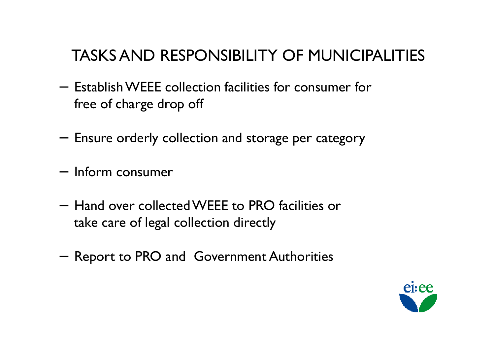### TASKS AND RESPONSIBILITY OF MUNICIPALITIES

- − $-$  Establish WEEE collection facilities for consumer for  $\frac{1}{2}$ free of charge drop off
- − $-$  Ensure orderly collection and storage per category
- − $-$  Inform consumer
- − Hand over collected WEEE to PRO facilities or take care of legal collection directly
- − $-$  Report to PRO and Government Authorities

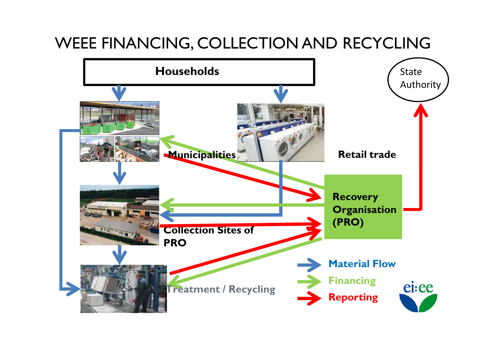### WEEE FINANCING, COLLECTION AND RECYCLING

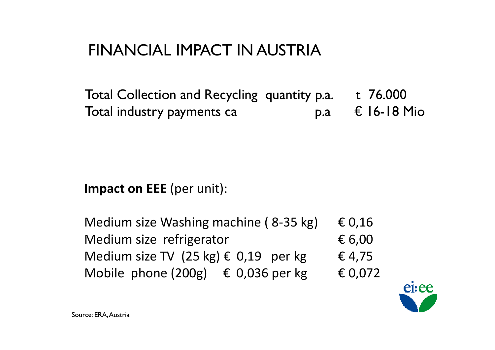### FINANCIAL IMPACT IN AUSTRIA

Total Collection and Recycling quantity p.a.  $t$  76.000<br>Total industry payments ca  $\begin{array}{ccc} 0 & p.a & \text{if } 16-18 \text{ Mio} \end{array}$ Total industry payments ca

### **Impact on EEE** (per unit):

| Medium size Washing machine (8-35 kg)            | $\epsilon$ 0,16 |
|--------------------------------------------------|-----------------|
| Medium size refrigerator                         | $\epsilon$ 6,00 |
| Medium size TV $(25 \text{ kg}) \in 0.19$ per kg | € 4,75          |
| Mobile phone $(200g)$ $\in$ 0,036 per kg         | € 0,072         |

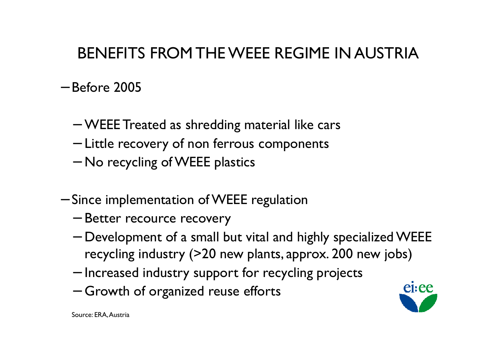## BENEFITS FROMTHE WEEE REGIME IN AUSTRIA

- Before 2005<br>-
	- −— WEEE Treated as shredding material like cars<br>— Little recevery of non ferrous components
	- Little recovery of non ferrous components<br>No resysting of WEEE alectics
	- −−  $-$  No recycling of WEEE plastics
- Since implementation of WEEE regulation
	- −– Better recource recovery<br>Development of a small b
	- − $-$  Development of a small but vital and highly specialized WEEE<br>recycling industry (>20 new plants, approx, 200 new jobs) recycling industry (>20 new <sup>p</sup>lants, approx. 200 new jobs)
	- Increased industry support for recycling projects<br>Crowth of organized reuse effects
	- −– Growth of organized reuse efforts